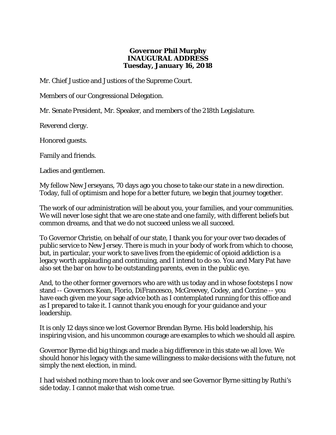### **Governor Phil Murphy INAUGURAL ADDRESS Tuesday, January 16, 2018**

Mr. Chief Justice and Justices of the Supreme Court.

Members of our Congressional Delegation.

Mr. Senate President, Mr. Speaker, and members of the 218th Legislature.

Reverend clergy.

Honored guests.

Family and friends.

Ladies and gentlemen.

My fellow New Jerseyans, 70 days ago you chose to take our state in a new direction. Today, full of optimism and hope for a better future, we begin that journey together.

The work of our administration will be about you, your families, and your communities. We will never lose sight that we are one state and one family, with different beliefs but common dreams, and that we do not succeed unless we all succeed.

To Governor Christie, on behalf of our state, I thank you for your over two decades of public service to New Jersey. There is much in your body of work from which to choose, but, in particular, your work to save lives from the epidemic of opioid addiction is a legacy worth applauding and continuing, and I intend to do so. You and Mary Pat have also set the bar on how to be outstanding parents, even in the public eye.

And, to the other former governors who are with us today and in whose footsteps I now stand -- Governors Kean, Florio, DiFrancesco, McGreevey, Codey, and Corzine -- you have each given me your sage advice both as I contemplated running for this office and as I prepared to take it. I cannot thank you enough for your guidance and your leadership.

It is only 12 days since we lost Governor Brendan Byrne. His bold leadership, his inspiring vision, and his uncommon courage are examples to which we should all aspire.

Governor Byrne did big things and made a big difference in this state we all love. We should honor his legacy with the same willingness to make decisions with the future, not simply the next election, in mind.

I had wished nothing more than to look over and see Governor Byrne sitting by Ruthi's side today. I cannot make that wish come true.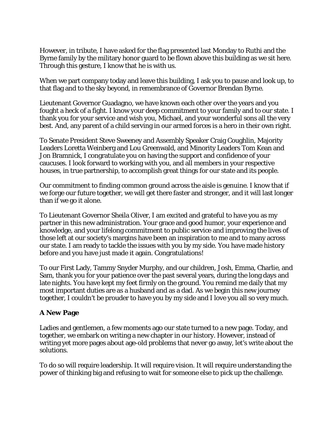However, in tribute, I have asked for the flag presented last Monday to Ruthi and the Byrne family by the military honor guard to be flown above this building as we sit here. Through this gesture, I know that he is with us.

When we part company today and leave this building, I ask you to pause and look up, to that flag and to the sky beyond, in remembrance of Governor Brendan Byrne.

Lieutenant Governor Guadagno, we have known each other over the years and you fought a heck of a fight. I know your deep commitment to your family and to our state. I thank you for your service and wish you, Michael, and your wonderful sons all the very best. And, any parent of a child serving in our armed forces is a hero in their own right.

To Senate President Steve Sweeney and Assembly Speaker Craig Coughlin, Majority Leaders Loretta Weinberg and Lou Greenwald, and Minority Leaders Tom Kean and Jon Bramnick, I congratulate you on having the support and confidence of your caucuses. I look forward to working with you, and all members in your respective houses, in true partnership, to accomplish great things for our state and its people.

Our commitment to finding common ground across the aisle is genuine. I know that if we forge our future together, we will get there faster and stronger, and it will last longer than if we go it alone.

To Lieutenant Governor Sheila Oliver, I am excited and grateful to have you as my partner in this new administration. Your grace and good humor, your experience and knowledge, and your lifelong commitment to public service and improving the lives of those left at our society's margins have been an inspiration to me and to many across our state. I am ready to tackle the issues with you by my side. You have made history before and you have just made it again. Congratulations!

To our First Lady, Tammy Snyder Murphy, and our children, Josh, Emma, Charlie, and Sam, thank you for your patience over the past several years, during the long days and late nights. You have kept my feet firmly on the ground. You remind me daily that my most important duties are as a husband and as a dad. As we begin this new journey together, I couldn't be prouder to have you by my side and I love you all so very much.

### **A New Page**

Ladies and gentlemen, a few moments ago our state turned to a new page. Today, and together, we embark on writing a new chapter in our history. However, instead of writing yet more pages about age-old problems that never go away, let's write about the solutions.

To do so will require leadership. It will require vision. It will require understanding the power of thinking big and refusing to wait for someone else to pick up the challenge.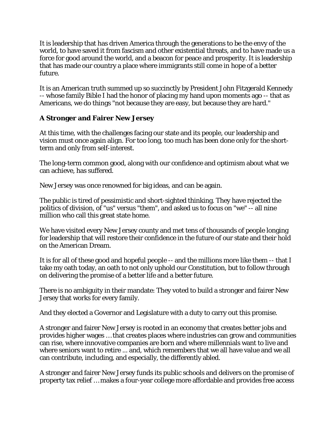It is leadership that has driven America through the generations to be the envy of the world, to have saved it from fascism and other existential threats, and to have made us a force for good around the world, and a beacon for peace and prosperity. It is leadership that has made our country a place where immigrants still come in hope of a better future.

It is an American truth summed up so succinctly by President John Fitzgerald Kennedy -- whose family Bible I had the honor of placing my hand upon moments ago -- that as Americans, we do things "not because they are easy, but because they are hard."

# **A Stronger and Fairer New Jersey**

At this time, with the challenges facing our state and its people, our leadership and vision must once again align. For too long, too much has been done only for the shortterm and only from self-interest.

The long-term common good, along with our confidence and optimism about what we can achieve, has suffered.

New Jersey was once renowned for big ideas, and can be again.

The public is tired of pessimistic and short-sighted thinking. They have rejected the politics of division, of "us" versus "them", and asked us to focus on "we" -- all nine million who call this great state home.

We have visited every New Jersey county and met tens of thousands of people longing for leadership that will restore their confidence in the future of our state and their hold on the American Dream.

It is for all of these good and hopeful people -- and the millions more like them -- that I take my oath today, an oath to not only uphold our Constitution, but to follow through on delivering the promise of a better life and a better future.

There is no ambiguity in their mandate: They voted to build a stronger and fairer New Jersey that works for every family.

And they elected a Governor and Legislature with a duty to carry out this promise.

A stronger and fairer New Jersey is rooted in an economy that creates better jobs and provides higher wages … that creates places where industries can grow and communities can rise, where innovative companies are born and where millennials want to live and where seniors want to retire ... and, which remembers that we all have value and we all can contribute, including, and especially, the differently abled.

A stronger and fairer New Jersey funds its public schools and delivers on the promise of property tax relief … makes a four-year college more affordable and provides free access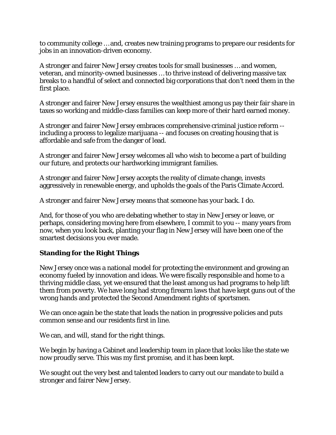to community college … and, creates new training programs to prepare our residents for jobs in an innovation-driven economy.

A stronger and fairer New Jersey creates tools for small businesses … and women, veteran, and minority-owned businesses … to thrive instead of delivering massive tax breaks to a handful of select and connected big corporations that don't need them in the first place.

A stronger and fairer New Jersey ensures the wealthiest among us pay their fair share in taxes so working and middle-class families can keep more of their hard earned money.

A stronger and fairer New Jersey embraces comprehensive criminal justice reform - including a process to legalize marijuana -- and focuses on creating housing that is affordable and safe from the danger of lead.

A stronger and fairer New Jersey welcomes all who wish to become a part of building our future, and protects our hardworking immigrant families.

A stronger and fairer New Jersey accepts the reality of climate change, invests aggressively in renewable energy, and upholds the goals of the Paris Climate Accord.

A stronger and fairer New Jersey means that someone has your back. I do.

And, for those of you who are debating whether to stay in New Jersey or leave, or perhaps, considering moving here from elsewhere, I commit to you -- many years from now, when you look back, planting your flag in New Jersey will have been one of the smartest decisions you ever made.

# **Standing for the Right Things**

New Jersey once was a national model for protecting the environment and growing an economy fueled by innovation and ideas. We were fiscally responsible and home to a thriving middle class, yet we ensured that the least among us had programs to help lift them from poverty. We have long had strong firearm laws that have kept guns out of the wrong hands and protected the Second Amendment rights of sportsmen.

We can once again be the state that leads the nation in progressive policies and puts common sense and our residents first in line.

We can, and will, stand for the right things.

We begin by having a Cabinet and leadership team in place that looks like the state we now proudly serve. This was my first promise, and it has been kept.

We sought out the very best and talented leaders to carry out our mandate to build a stronger and fairer New Jersey.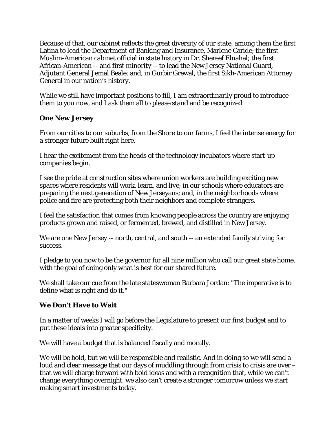Because of that, our cabinet reflects the great diversity of our state, among them the first Latina to lead the Department of Banking and Insurance, Marlene Caride; the first Muslim-American cabinet official in state history in Dr. Shereef Elnahal; the first African-American -- and first minority -- to lead the New Jersey National Guard, Adjutant General Jemal Beale; and, in Gurbir Grewal, the first Sikh-American Attorney General in our nation's history.

While we still have important positions to fill, I am extraordinarily proud to introduce them to you now, and I ask them all to please stand and be recognized.

# **One New Jersey**

From our cities to our suburbs, from the Shore to our farms, I feel the intense energy for a stronger future built right here.

I hear the excitement from the heads of the technology incubators where start-up companies begin.

I see the pride at construction sites where union workers are building exciting new spaces where residents will work, learn, and live; in our schools where educators are preparing the next generation of New Jerseyans; and, in the neighborhoods where police and fire are protecting both their neighbors and complete strangers.

I feel the satisfaction that comes from knowing people across the country are enjoying products grown and raised, or fermented, brewed, and distilled in New Jersey.

We are one New Jersey -- north, central, and south -- an extended family striving for success.

I pledge to you now to be the governor for all nine million who call our great state home, with the goal of doing only what is best for our shared future.

We shall take our cue from the late stateswoman Barbara Jordan: "The imperative is to define what is right and do it."

# **We Don't Have to Wait**

In a matter of weeks I will go before the Legislature to present our first budget and to put these ideals into greater specificity.

We will have a budget that is balanced fiscally and morally.

We will be bold, but we will be responsible and realistic. And in doing so we will send a loud and clear message that our days of muddling through from crisis to crisis are over – that we will charge forward with bold ideas and with a recognition that, while we can't change everything overnight, we also can't create a stronger tomorrow unless we start making smart investments today.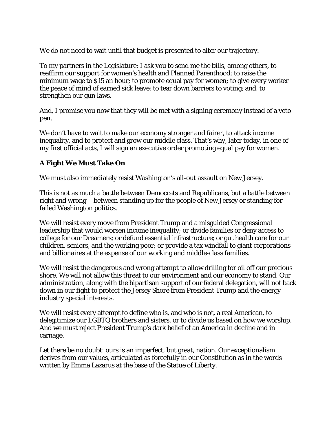We do not need to wait until that budget is presented to alter our trajectory.

To my partners in the Legislature: I ask you to send me the bills, among others, to reaffirm our support for women's health and Planned Parenthood; to raise the minimum wage to \$15 an hour; to promote equal pay for women; to give every worker the peace of mind of earned sick leave; to tear down barriers to voting; and, to strengthen our gun laws.

And, I promise you now that they will be met with a signing ceremony instead of a veto pen.

We don't have to wait to make our economy stronger and fairer, to attack income inequality, and to protect and grow our middle class. That's why, later today, in one of my first official acts, I will sign an executive order promoting equal pay for women.

# **A Fight We Must Take On**

We must also immediately resist Washington's all-out assault on New Jersey.

This is not as much a battle between Democrats and Republicans, but a battle between right and wrong – between standing up for the people of New Jersey or standing for failed Washington politics.

We will resist every move from President Trump and a misguided Congressional leadership that would worsen income inequality; or divide families or deny access to college for our Dreamers; or defund essential infrastructure; or gut health care for our children, seniors, and the working poor; or provide a tax windfall to giant corporations and billionaires at the expense of our working and middle-class families.

We will resist the dangerous and wrong attempt to allow drilling for oil off our precious shore. We will not allow this threat to our environment and our economy to stand. Our administration, along with the bipartisan support of our federal delegation, will not back down in our fight to protect the Jersey Shore from President Trump and the energy industry special interests.

We will resist every attempt to define who is, and who is not, a real American, to delegitimize our LGBTQ brothers and sisters, or to divide us based on how we worship. And we must reject President Trump's dark belief of an America in decline and in carnage.

Let there be no doubt: ours is an imperfect, but great, nation. Our exceptionalism derives from our values, articulated as forcefully in our Constitution as in the words written by Emma Lazarus at the base of the Statue of Liberty.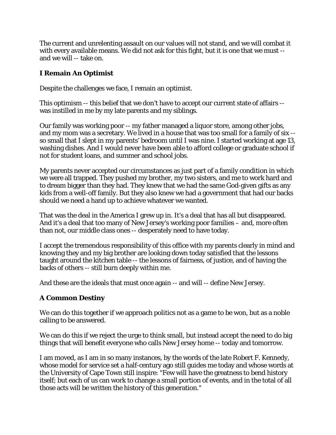The current and unrelenting assault on our values will not stand, and we will combat it with every available means. We did not ask for this fight, but it is one that we must - and we will -- take on.

# **I Remain An Optimist**

Despite the challenges we face, I remain an optimist.

This optimism -- this belief that we don't have to accept our current state of affairs - was instilled in me by my late parents and my siblings.

Our family was working poor -- my father managed a liquor store, among other jobs, and my mom was a secretary. We lived in a house that was too small for a family of six - so small that I slept in my parents' bedroom until I was nine. I started working at age 13, washing dishes. And I would never have been able to afford college or graduate school if not for student loans, and summer and school jobs.

My parents never accepted our circumstances as just part of a family condition in which we were all trapped. They pushed my brother, my two sisters, and me to work hard and to dream bigger than they had. They knew that we had the same God-given gifts as any kids from a well-off family. But they also knew we had a government that had our backs should we need a hand up to achieve whatever we wanted.

That was the deal in the America I grew up in. It's a deal that has all but disappeared. And it's a deal that too many of New Jersey's working poor families – and, more often than not, our middle class ones -- desperately need to have today.

I accept the tremendous responsibility of this office with my parents clearly in mind and knowing they and my big brother are looking down today satisfied that the lessons taught around the kitchen table -- the lessons of fairness, of justice, and of having the backs of others -- still burn deeply within me.

And these are the ideals that must once again -- and will -- define New Jersey.

# **A Common Destiny**

We can do this together if we approach politics not as a game to be won, but as a noble calling to be answered.

We can do this if we reject the urge to think small, but instead accept the need to do big things that will benefit everyone who calls New Jersey home -- today and tomorrow.

I am moved, as I am in so many instances, by the words of the late Robert F. Kennedy, whose model for service set a half-century ago still guides me today and whose words at the University of Cape Town still inspire: "Few will have the greatness to bend history itself; but each of us can work to change a small portion of events, and in the total of all those acts will be written the history of this generation."